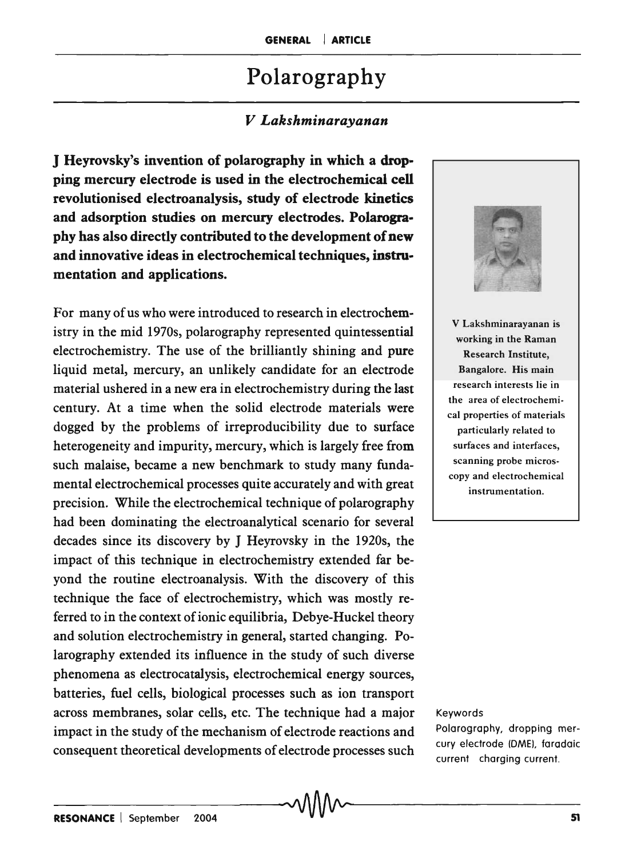# Polarography

#### *V Lakshminarayanan*

J Heyrovsky's invention of polarography in which a drop .. ping mercury electrode is used in the electrochemical cell revolutionised electroanalysis, study of electrode kinetics and adsorption studies on mercury electrodes. Polarogra· phy has also directly contributed to the development of new and innovative ideas in electrochemical techniques, instru· mentation and applications.

For many of us who were introduced to research in electrochemistry in the mid 1970s, polarography represented quintessential electrochemistry. The use of the brilliantly shining and pure liquid metal, mercury, an unlikely candidate for an electrode material ushered in a new era in electrochemistry during the last century. At a time when the solid electrode materials were dogged by the problems of irreproducibility due to surface heterogeneity and impurity, mercury, which is largely free from such malaise, became a new benchmark to study many fundamental electrochemical processes quite accurately and with great precision. While the electrochemical technique of polarography had been dominating the electroanalytical scenario for several decades since its discovery by J Heyrovsky in the 1920s, the impact of this technique in electrochemistry extended far beyond the routine electroanalysis. With the discovery of this technique the face of electrochemistry, which was mostly referred to in the context of ionic equilibria, Debye-Huckel theory and solution electrochemistry in general, started changing. Polarography extended its influence in the study of such diverse phenomena as electrocatalysis, electrochemical energy sources, batteries, fuel cells, biological processes such as ion transport across membranes, solar cells, etc. The technique had a major impact in the study of the mechanism of electrode reactions and consequent theoretical developments of electrode processes such



V Lakshminarayanan is working in the Raman Research Institute, Bangalore. His main research interests lie in the area of electrochemical properties of materials particularly related to surfaces and interfaces, scanning probe microscopy and electrochemical instrumentation.

Keywords

Polarography, dropping mercury electrode (DME), faradaic current charging current.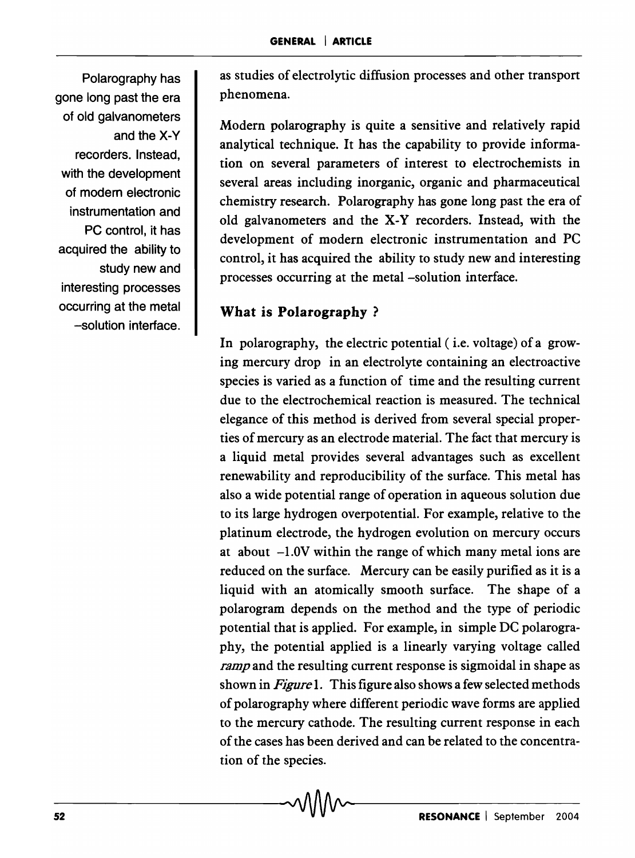Polarography has gone long past the era of old galvanometers and the X-V recorders. Instead, with the development of modern electronic instrumentation and PC control, it has acquired the ability to study new and interesting processes occurring at the metal -solution interface.

as studies of electrolytic diffusion processes and other transport phenomena.

Modern polarography is quite a sensitive and relatively rapid analytical technique. It has the capability to provide information on several parameters of interest to electrochemists in several areas including inorganic, organic and pharmaceutical chemistry research. Polarography has gone long past the era of old galvanometers and the X-Y recorders. Instead, with the development of modern electronic instrumentation and PC control, it has acquired the ability to study new and interesting processes occurring at the metal -solution interface.

# **What is Polarography ?**

In polarography, the electric potential ( i.e. voltage) of a growing mercury drop in an electrolyte containing an electroactive species is varied as a function of time and the resulting current due to the electrochemical reaction is measured. The technical elegance of this method is derived from several special properties of mercury as an electrode material. The fact that mercury is a liquid metal provides several advantages such as excellent renewability and reproducibility of the surface. This metal has also a wide potential range of operation in aqueous solution due to its large hydrogen overpotential. For example, relative to the platinum electrode, the hydrogen evolution on mercury occurs at about  $-1.0V$  within the range of which many metal ions are reduced on the surface. Mercury can be easily purified as it is a liquid with an atomically smooth surface. The shape of a polarogram depends on the method and the type of periodic potential that is applied. For example, in simple DC polarography, the potential applied is a linearly varying voltage called *ramp* and the resulting current response is sigmoidal in shape as shown in *Figure* 1. This figure also shows a few selected methods of polarography where different periodic wave forms are applied to the mercury cathode. The resulting current response in each of the cases has been derived and can be related to the concentration of the species.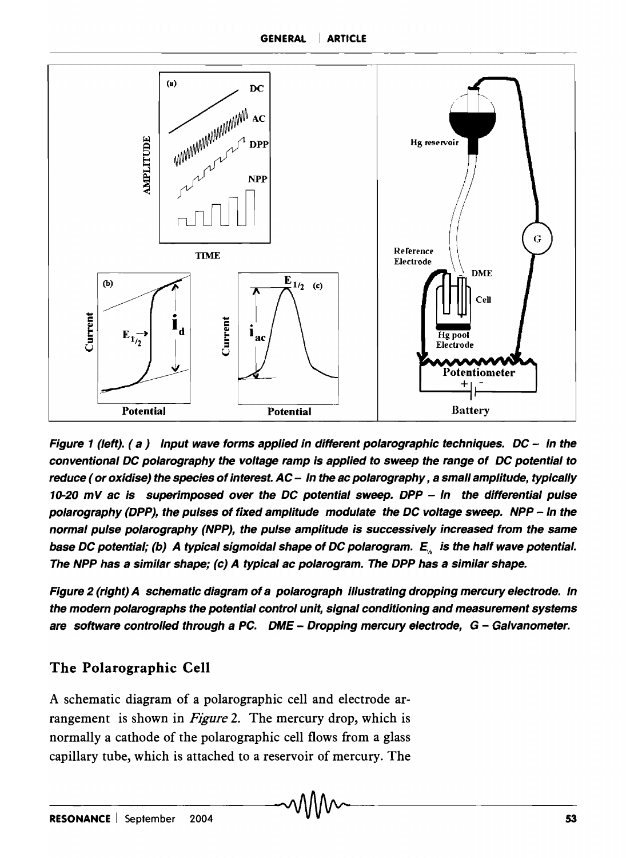



Figure 1 (left). (a) Input wave forms applied in different polarographic techniques.  $DC - In$  the conventional DC polarography the voltage ramp is applied to sweep the range of DC potential to reduce ( or oxidise) the species of interest. AC - In the ac polarography, a small amplitude, typically 10-20 mV ac is superimposed over the DC potential sweep. DPP  $-$  In the differential pulse polarography (DPP), the pulses of fixed amplitude modulate the DC voltage sweep. NPP - In the normal pulse polarography (NPP), the pulse amplitude is successively increased from the same base DC potential; (b) A typical sigmoidal shape of DC polarogram.  $E_{\mu}$  is the half wave potential. The NPP has a similar shape; (c) A typical ac polarogram. The DPP has a similar shape.

Figure 2 (right) A schematic diagram of a polarograph illustrating dropping mercury electrode. In the modern polarographs the potential control unit, signal conditioning and measurement systems are software controlled through a PC. DME - Dropping mercury electrode, G - Galvanometer.

# The Polarographic Cell

A schematic diagram of a polarographic cell and electrode arrangement is shown in *Figure* 2. The mercury drop, which is normally a cathode of the polarographic cell flows from a glass capillary tube, which is attached to a reservoir of mercury. The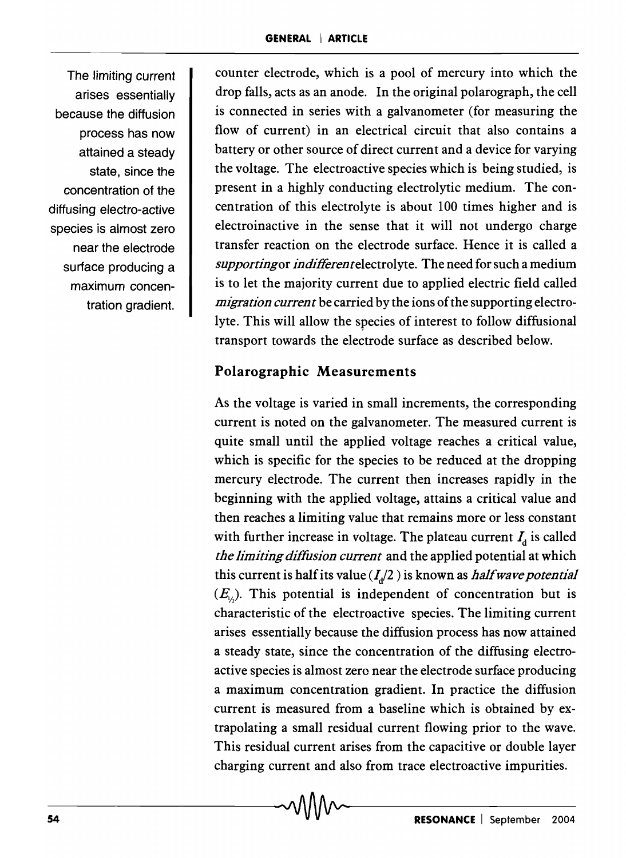The limiting current arises essentially because the diffusion process has now attained a steady state, since the concentration of the diffusing electro-active species is almost zero near the electrode surface producing a maximum concentration gradient.

counter electrode, which is a pool of mercury into which the drop falls, acts as an anode. In the original polarograph, the cell is connected in series with a galvanometer (for measuring the flow of current) in an electrical circuit that also contains a battery or other source of direct current and a device for varying the voltage. The electroactive species which is being studied, is present in a highly conducting electrolytic medium. The concentration of this electrolyte is about 100 times higher and is electroinactive in the sense that it will not undergo charge transfer reaction on the electrode surface. Hence it is called a *supportingor indifferentelectrolyte.* The need for such a medium is to let the majority current due to applied electric field called *migra tion curren t* be carried by the ions of the supporting electrolyte. This will allow the species of interest to follow diffusional transport towards the electrode surface as described below.

#### **Polarographic Measurements**

As the voltage is varied in small increments, the corresponding current is noted on the galvanometer. The measured current is quite small until the applied voltage reaches a critical value, which is specific for the species to be reduced at the dropping mercury electrode. The current then increases rapidly in the beginning with the applied voltage, attains a critical value and then reaches a limiting value that remains more or less constant with further increase in voltage. The plateau current  $I<sub>d</sub>$  is called *the limiting diffusion current* and the applied potential at which this current is half its value  $(I_d/2)$  is known as *half wave potential*  $(E_{\mu})$ . This potential is independent of concentration but is characteristic of the electroactive species. The limiting current arises essentially because the diffusion process has now attained a steady state, since the concentration of the diffusing electroactive species is almost zero near the electrode surface producing a maximum concentration gradient. In practice the diffusion current is measured from a baseline which is obtained by extrapolating a small residual current flowing prior to the wave. This residual current arises from the capacitive or double layer charging current and also from trace electroactive impurities.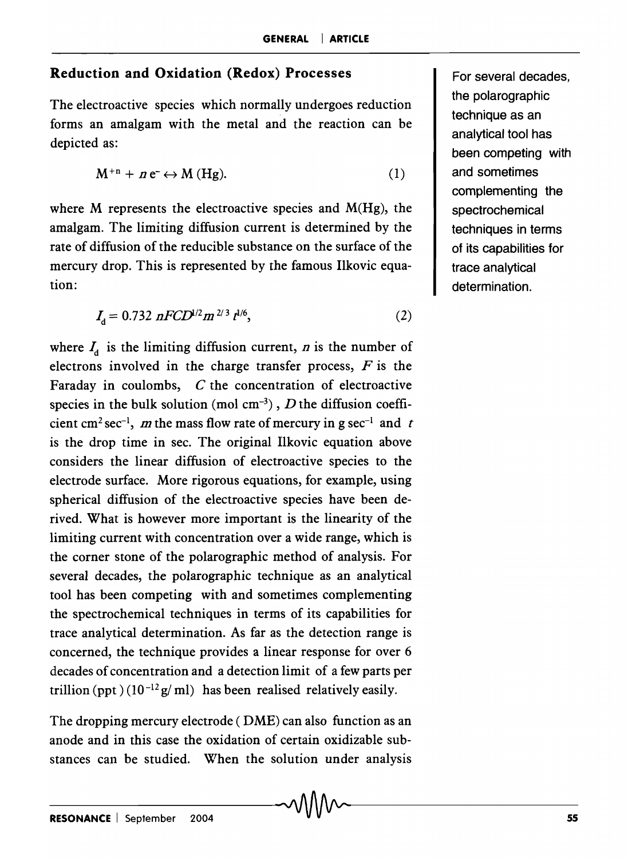#### Reduction and Oxidation (Redox) Processes

The electroactive species which normally undergoes reduction forms an amalgam with the metal and the reaction can be depicted as:

$$
M^{+n} + n e^{-} \leftrightarrow M (Hg). \tag{1}
$$

where M represents the electroactive species and M(Hg), the amalgam. The limiting diffusion current is determined by the rate of diffusion of the reducible substance on the surface of the mercury drop. This is represented by the famous Ilkovic equation:

$$
I_{\rm d} = 0.732 \; nFCD^{1/2}m^{2/3} \; t^{1/6},\tag{2}
$$

where  $I<sub>d</sub>$  is the limiting diffusion current, *n* is the number of electrons involved in the charge transfer process, *F* is the Faraday in coulombs, C the concentration of electroactive species in the bulk solution (mol cm<sup>-3</sup>),  $D$  the diffusion coefficient cm<sup>2</sup> sec<sup>-1</sup>, *m* the mass flow rate of mercury in g sec<sup>-1</sup> and *t* is the drop time in sec. The original Ilkovic equation above considers the linear diffusion of electroactive species to the electrode surface. More rigorous equations, for example, using spherical diffusion of the electroactive species have been derived. What is however more important is the linearity of the limiting current with concentration over a wide range, which is the corner stone of the polarographic method of analysis. For several decades, the polarographic technique as an analytical tool has been competing with and sometimes complementing the spectrochemical techniques in terms of its capabilities for trace analytical determination. As far as the detection range is concerned, the technique provides a linear response for over 6 decades of concentration and a detection limit of a few parts per trillion (ppt)  $(10^{-12} g/ml)$  has been realised relatively easily.

The dropping mercury electrode (DME) can also function as an anode and in this case the oxidation of certain oxidizable substances can be studied. When the solution under analysis

For several decades, the polarographic technique as an analytical tool has been competing with and sometimes complementing the spectrochemical techniques in terms of its capabilities for trace analytical determination.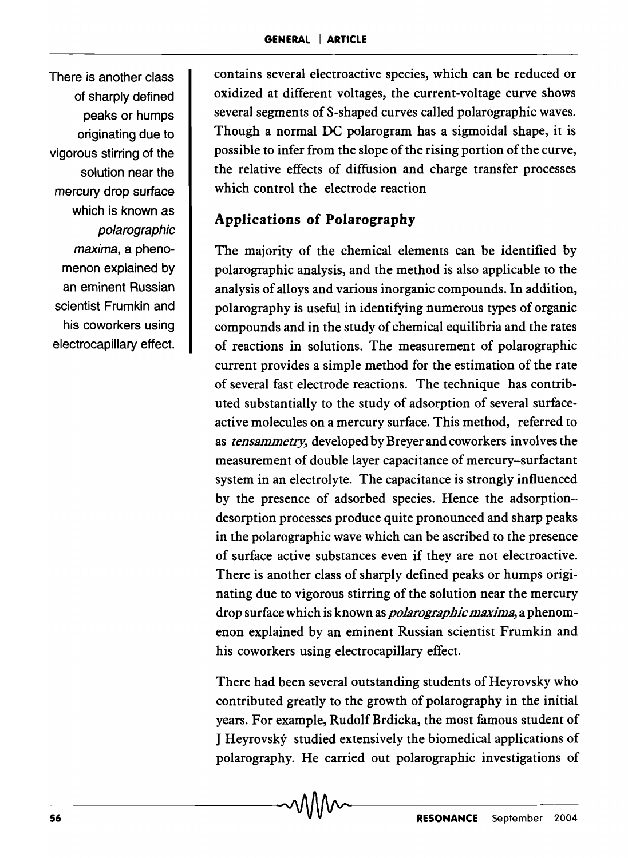There is another class of sharply defined peaks or humps originating due to vigorous stirring of the solution near the mercury drop surface which is known as polarographic maxima, a phenomenon explained by an eminent Russian scientist Frumkin and his coworkers using electrocapillary effect.

contains several electroactive species, which can be reduced or oxidized at different voltages, the current-voltage curve shows several segments of S-shaped curves called polarographic waves. Though a normal DC polarogram has a sigmoidal shape, it is possible to infer from the slope of the rising portion of the curve, the relative effects of diffusion and charge transfer processes which control the electrode reaction

## **Applications of Polarography**

The majority of the chemical elements can be identified by polarographic analysis, and the method is also applicable to the analysis of alloys and various inorganic compounds. In addition, polarography is useful in identifying numerous types of organic compounds and in the study of chemical equilibria and the rates of reactions in solutions. The measurement of polarographic current provides a simple method for the estimation of the rate of several fast electrode reactions. The technique has contributed substantially to the study of adsorption of several surfaceactive molecules on a mercury surface. This method, referred to as *tensammetry*, developed by Breyer and coworkers involves the measurement of double layer capacitance of mercury-surfactant system in an electrolyte. The capacitance is strongly influenced by the presence of adsorbed species. Hence the adsorptiondesorption processes produce quite pronounced and sharp peaks in the polarographic wave which can be ascribed to the presence of surface active substances even if they are not electroactive. There is another class of sharply defined peaks or humps originating due to vigorous stirring of the solution near the mercury drop surface which is known as *polarographic maxima,* a phenomenon explained by an eminent Russian scientist Frumkin and his coworkers using electrocapillary effect.

There had been several outstanding students of Heyrovsky who contributed greatly to the growth of polarography in the initial years. For example, Rudolf Brdicka, the most famous student of J Heyrovsky studied extensively the biomedical applications of polarography. He carried out polarographic investigations of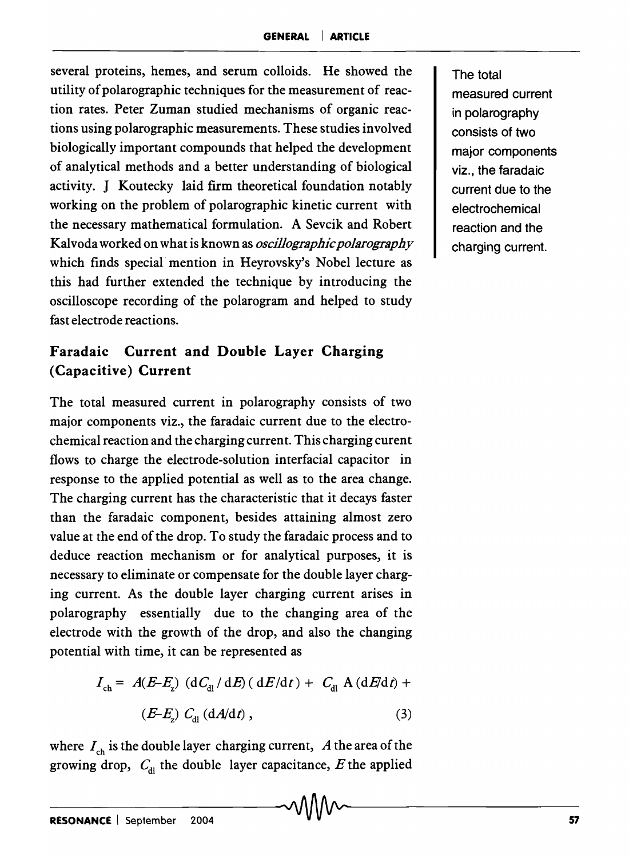several proteins, hemes, and serum colloids. He showed the utility of polarographic techniques for the measurement of reaction rates. Peter Zuman studied mechanisms of organic reactions using polarographic measurements. These studies involved biologically important compounds that helped the development of analytical methods and a better understanding of biological activity. J Koutecky laid firm theoretical foundation notably working on the problem of polarographic kinetic current with the necessary mathematical formulation. A Sevcik and Robert Kalvoda worked on what is known as *oscillographic polarography*  which finds special mention in Heyrovsky's Nobel lecture as this had further extended the technique by introducing the oscilloscope recording of the polarogram and helped to study fast electrode reactions.

# Faradaic Current and Double Layer Charging (Capacitive) Current

The total measured current in polarography consists of two major components viz., the faradaic current due to the electrochemical reaction and the charging current. This charging curent flows to charge the electrode-solution interfacial capacitor in response to the applied potential as well as to the area change. The charging current has the characteristic that it decays faster than the faradaic component, besides attaining almost zero value at the end of the drop. To study the faradaic process and to deduce reaction mechanism or for analytical purposes, it is necessary to eliminate or compensate for the double layer charging current. As the double layer charging current arises in polarography essentially due to the changing area of the electrode with the growth of the drop, and also the changing potential with time, it can be represented as

$$
I_{\text{ch}} = A(E-E_{\text{z}}) (dC_{\text{dl}}/dE) (dE/dt) + C_{\text{dl}} A (dE/dt) +
$$
  

$$
(E-E_{\text{z}}) C_{\text{dl}} (dA/dt), \qquad (3)
$$

where  $I_{ch}$  is the double layer charging current, *A* the area of the growing drop,  $C_{\text{d}l}$  the double layer capacitance,  $E$  the applied

The total measured current in polarography consists of two major components viz., the faradaic current due to the electrochemical reaction and the charging current.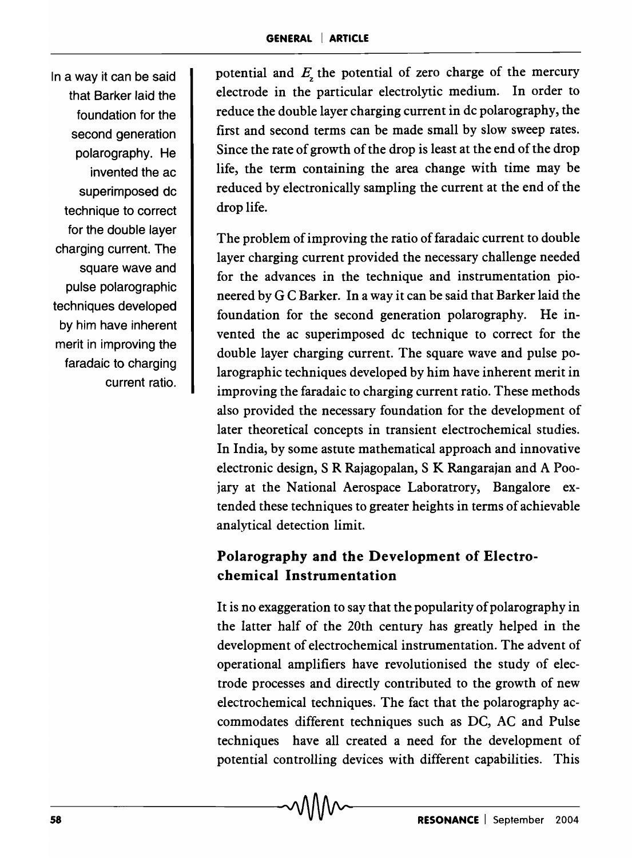In a way it can be said that Barker laid the foundation for the second generation polarography. He invented the ac superimposed dc technique to correct for the double layer charging current. The square wave and pulse polarographic techniques developed by him have inherent merit in improving the faradaic to charging current ratio.

potential and  $E<sub>z</sub>$  the potential of zero charge of the mercury electrode in the particular electrolytic medium. In order to reduce the double layer charging current in dc polarography, the first and second terms can be made small by slow sweep rates. Since the rate of growth of the drop is least at the end of the drop life, the term containing the area change with time may be reduced by electronically sampling the current at the end of the drop life.

The problem of improving the ratio of faradaic current to double layer charging current provided the necessary challenge needed for the advances in the technique and instrumentation pioneered by G C Barker. In a way it can be said that Barker laid the foundation for the second generation polarography. He invented the ac superimposed dc technique to correct for the double layer charging current. The square wave and pulse polarographic techniques developed by him have inherent merit in improving the faradaic to charging current ratio. These methods also provided the necessary foundation for the development of later theoretical concepts in transient electrochemical studies. In India, by some astute mathematical approach and innovative electronic design, S R Rajagopalan, S K Rangarajan and A Poojary at the National Aerospace Laboratrory, Bangalore extended these techniques to greater heights in terms of achievable analytical detection limit.

# Polarography and the Development of Electrochemical Instrumentation

It is no exaggeration to say that the popularity of polarography in the latter half of the 20th century has greatly helped in the development of electrochemical instrumentation. The advent of operational amplifiers have revolutionised the study of electrode processes and directly contributed to the growth of new electrochemical techniques. The fact that the polarography accommodates different techniques such as DC, AC and Pulse techniques have all created a need for the development of potential controlling devices with different capabilities. This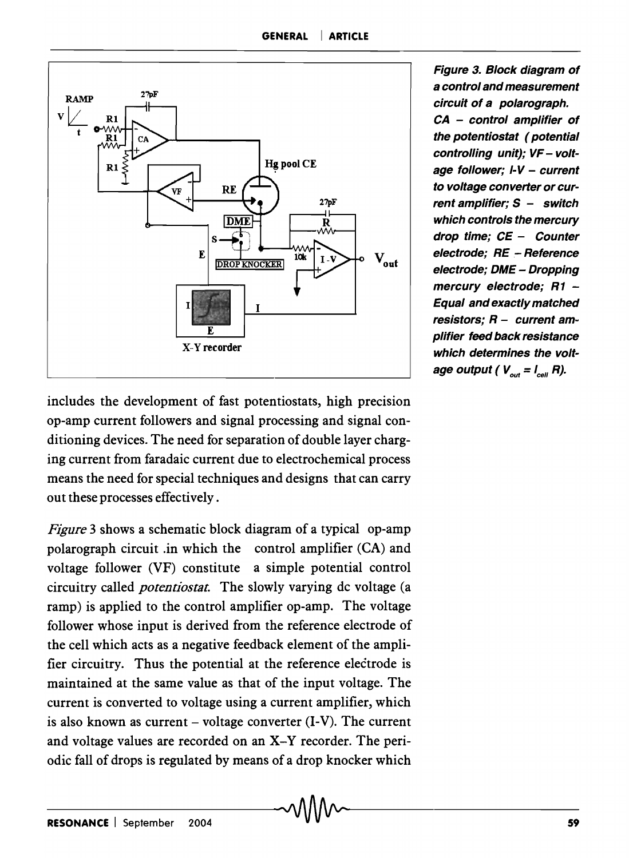

includes the development of fast potentiostats, high precision op-amp current followers and signal processing and signal conditioning devices. The need for separation of double layer charging current from faradaic current due to electrochemical process means the need for special techniques and designs that can carry out these processes effectively.

*Figure* 3 shows a schematic block diagram of a typical op-amp polarograph circuit .in which the control amplifier (CA) and voltage follower (VF) constitute a simple potential control circuitry called *potentiostat.* The slowly varying dc voltage (a ramp) is applied to the control amplifier op-amp. The voltage follower whose input is derived from the reference electrode of the cell which acts as a negative feedback element of the amplifier circuitry. Thus the potential at the reference electrode is maintained at the same value as that of the input voltage. The current is converted to voltage using a current amplifier, which is also known as current  $-$  voltage converter  $(I-V)$ . The current and voltage values are recorded on an X-Y recorder. The periodic fall of drops is regulated by means of a drop knocker which

Figure 3. Block diagram of a control and measurement circuit of a polarograph. CA - control amplifier of the potentiostat (potential controlling unit); VF-voltage follower; I-V - current to voltage converter or current amplifier;  $S - switch$ which controls the mercury drop time; CE - Counter electrode; RE - Reference electrode; DME - Dropping mercury electrode; R1 -Equal and exactly matched resistors;  $R -$  current amplifier feed back resistance which determines the voltage output ( $V_{out} = I_{out} R$ ).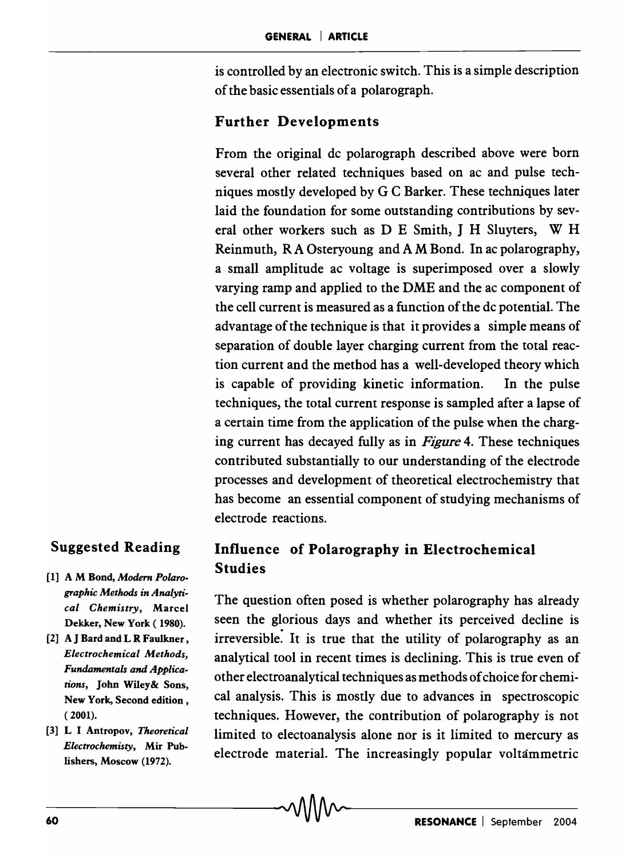is controlled by an electronic switch. This is a simple description of the basic essentials of a polarograph.

## Further Developments

From the original dc polarograph described above were born several other related techniques based on ac and pulse techniques mostly developed by G C Barker. These techniques later laid the foundation for some outstanding contributions by several other workers such as D E Smith, J H Sluyters, W H Reinmuth, R A Osteryoung and A M Bond. In ac polarography, a small amplitude ac voltage is superimposed over a slowly varying ramp and applied to the DME and the ac component of the cell current is measured as a function of the dc potential. The advantage of the technique is that it provides a simple means of separation of double layer charging current from the total reaction current and the method has a well-developed theory which is capable of providing kinetic information. In the pulse techniques, the total current response is sampled after a lapse of a certain time from the application of the pulse when the charging current has decayed fully as in *Figure* 4. These techniques contributed substantially to our understanding of the electrode processes and development of theoretical electrochemistry that has become an essential component of studying mechanisms of electrode reactions.

## Suggested Reading

[1] A M Bond, *Modern Polarographic Methods in Analytical Chemistry,* Marcel Dekker, New York (1980).

Studies

- [2] A J Bard and L R Faulkner, *Electrochemical Methods, Fundamentals and Applications,* John Wiley& Sons, New York, Second edition, ( 2001).
- [3] L I Antropov, *Theoretical Electrochemisty,* Mir Publishers, Moscow (1972).

The question often posed is whether polarography has already seen the glorious days and whether its perceived decline is irreversible: It is true that the utility of polarography as an analytical tool in recent times is declining. This is true even of other electroanalytical techniques as methods of choice for chemical analysis. This is mostly due to advances in spectroscopic techniques. However, the contribution of polarography is not

Influence of Polarography in Electrochemical

limited to electoanalysis alone nor is it limited to mercury as electrode material. The increasingly popular voltammetric